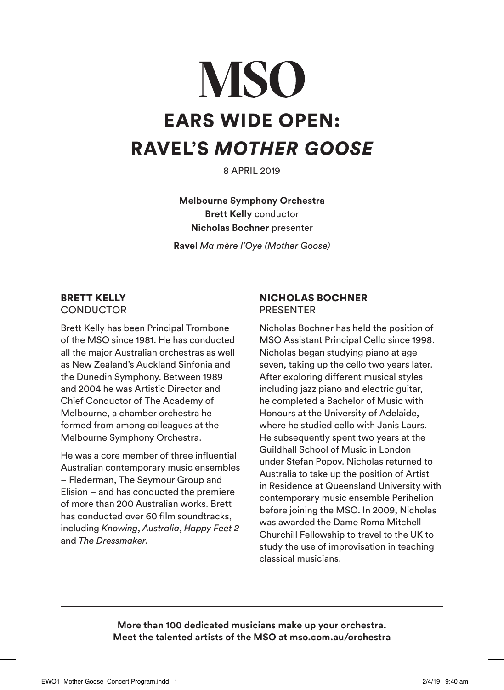## **MSO** EARS WIDE OPEN: RAVEL'S *MOTHER GOOSE*

8 APRIL 2019

**Melbourne Symphony Orchestra Brett Kelly** conductor **Nicholas Bochner** presenter

**Ravel** *Ma mère l'Oye (Mother Goose)*

## BRETT KELLY **CONDUCTOR**

Brett Kelly has been Principal Trombone of the MSO since 1981. He has conducted all the major Australian orchestras as well as New Zealand's Auckland Sinfonia and the Dunedin Symphony. Between 1989 and 2004 he was Artistic Director and Chief Conductor of The Academy of Melbourne, a chamber orchestra he formed from among colleagues at the Melbourne Symphony Orchestra.

He was a core member of three influential Australian contemporary music ensembles – Flederman, The Seymour Group and Elision – and has conducted the premiere of more than 200 Australian works. Brett has conducted over 60 film soundtracks, including *Knowing*, *Australia*, *Happy Feet 2* and *The Dressmaker*.

## NICHOLAS BOCHNER PRESENTER

Nicholas Bochner has held the position of MSO Assistant Principal Cello since 1998. Nicholas began studying piano at age seven, taking up the cello two years later. After exploring different musical styles including jazz piano and electric guitar, he completed a Bachelor of Music with Honours at the University of Adelaide, where he studied cello with Janis Laurs. He subsequently spent two years at the Guildhall School of Music in London under Stefan Popov. Nicholas returned to Australia to take up the position of Artist in Residence at Queensland University with contemporary music ensemble Perihelion before joining the MSO. In 2009, Nicholas was awarded the Dame Roma Mitchell Churchill Fellowship to travel to the UK to study the use of improvisation in teaching classical musicians.